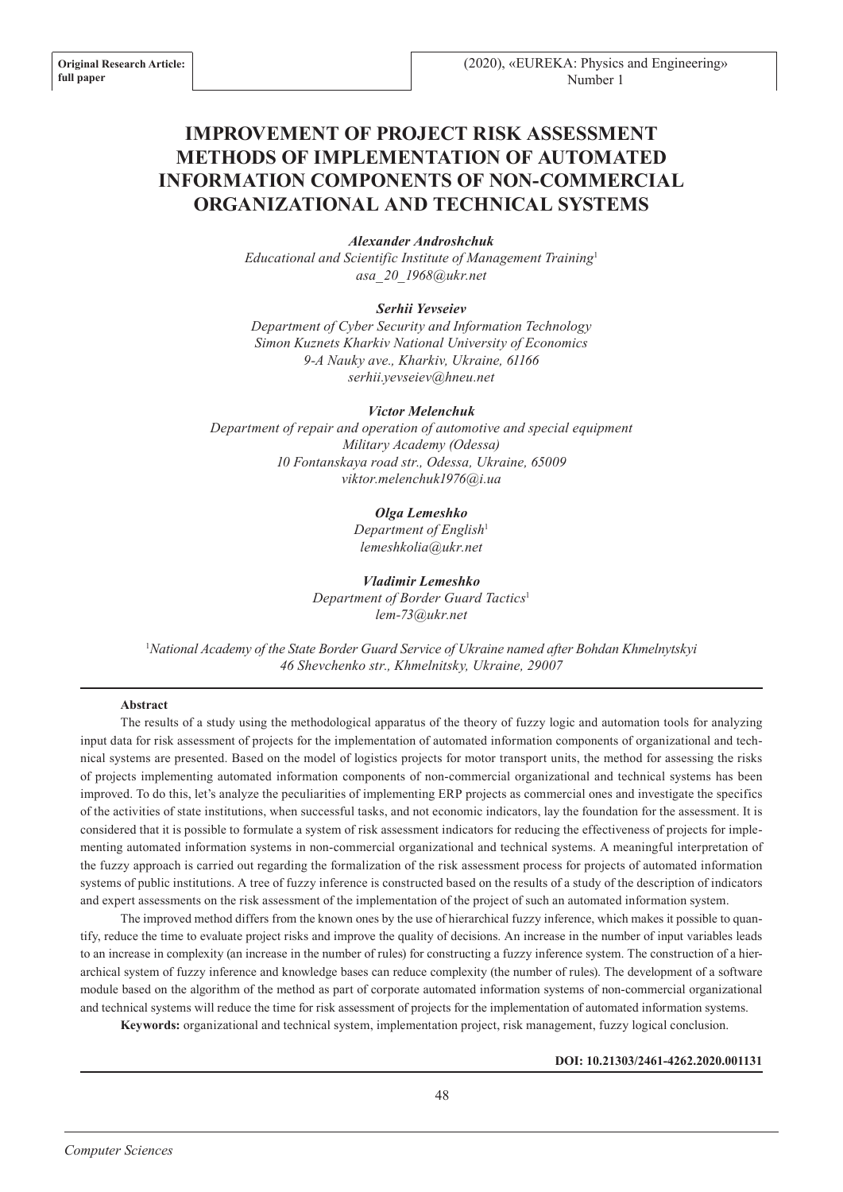# **IMPROVEMENT OF PROJECT RISK ASSESSMENT METHODS OF IMPLEMENTATION OF AUTOMATED INFORMATION COMPONENTS OF NON-COMMERCIAL ORGANIZATIONAL AND TECHNICAL SYSTEMS**

## *Аlexander Androshchuk*

*Educational and Scientific Institute of Management Training*<sup>1</sup> *asa\_20\_1968@ukr.net*

## *Serhii Yevseiev*

*Department of Cyber Security and Information Technology Simon Kuznets Kharkiv National University of Economics 9-А Nauky ave., Kharkiv, Ukraine, 61166 serhii.yevseiev@hneu.net*

#### *Victor Melenchuk*

*Department of repair and operation of automotive and special equipment Military Academy (Odessa) 10 Fontanskaya road str., Odessa, Ukraine, 65009 viktor.melenchuk1976@i.ua*

## *Olga Lemeshko*

*Department of English*<sup>1</sup> *lemeshkolia@ukr.net*

*Vladimir Lemeshko Department of Border Guard Tactics*<sup>1</sup> *lem-73@ukr.net*

<sup>1</sup>*National Academy of the State Border Guard Service of Ukraine named after Bohdan Khmelnytskyi 46 Shevchenko str., Khmelnitsky, Ukraine, 29007*

## **Abstract**

The results of a study using the methodological apparatus of the theory of fuzzy logic and automation tools for analyzing input data for risk assessment of projects for the implementation of automated information components of organizational and technical systems are presented. Based on the model of logistics projects for motor transport units, the method for assessing the risks of projects implementing automated information components of non-commercial organizational and technical systems has been improved. To do this, let's analyze the peculiarities of implementing ERP projects as commercial ones and investigate the specifics of the activities of state institutions, when successful tasks, and not economic indicators, lay the foundation for the assessment. It is considered that it is possible to formulate a system of risk assessment indicators for reducing the effectiveness of projects for implementing automated information systems in non-commercial organizational and technical systems. A meaningful interpretation of the fuzzy approach is carried out regarding the formalization of the risk assessment process for projects of automated information systems of public institutions. A tree of fuzzy inference is constructed based on the results of a study of the description of indicators and expert assessments on the risk assessment of the implementation of the project of such an automated information system.

The improved method differs from the known ones by the use of hierarchical fuzzy inference, which makes it possible to quantify, reduce the time to evaluate project risks and improve the quality of decisions. An increase in the number of input variables leads to an increase in complexity (an increase in the number of rules) for constructing a fuzzy inference system. The construction of a hierarchical system of fuzzy inference and knowledge bases can reduce complexity (the number of rules). The development of a software module based on the algorithm of the method as part of corporate automated information systems of non-commercial organizational and technical systems will reduce the time for risk assessment of projects for the implementation of automated information systems.

**Keywords:** organizational and technical system, implementation project, risk management, fuzzy logical conclusion.

## **DOI: 10.21303/2461-4262.2020.001131**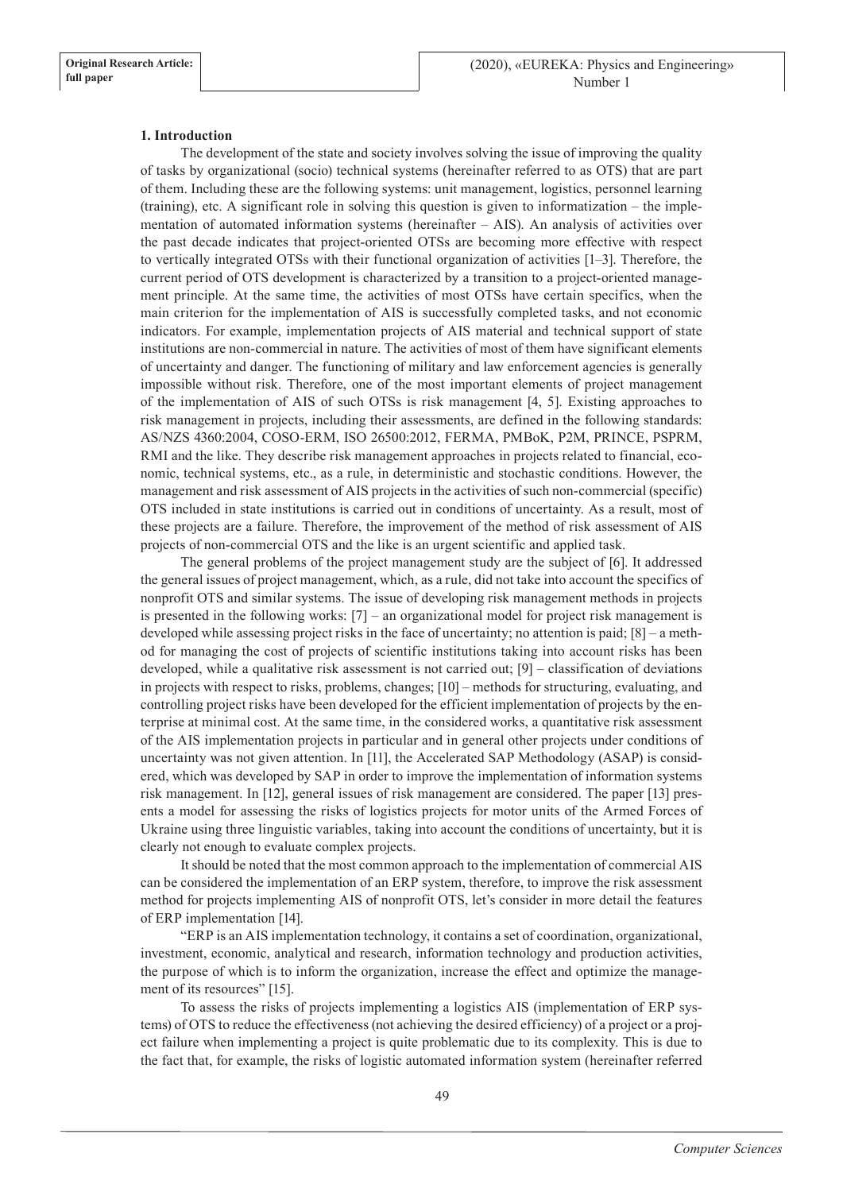## **1. Introduction**

The development of the state and society involves solving the issue of improving the quality of tasks by organizational (socio) technical systems (hereinafter referred to as OTS) that are part of them. Including these are the following systems: unit management, logistics, personnel learning (training), etc. A significant role in solving this question is given to informatization – the implementation of automated information systems (hereinafter – AIS). An analysis of activities over the past decade indicates that project-oriented OTSs are becoming more effective with respect to vertically integrated OTSs with their functional organization of activities [1–3]. Therefore, the current period of OTS development is characterized by a transition to a project-oriented management principle. At the same time, the activities of most OTSs have certain specifics, when the main criterion for the implementation of AIS is successfully completed tasks, and not economic indicators. For example, implementation projects of AIS material and technical support of state institutions are non-commercial in nature. The activities of most of them have significant elements of uncertainty and danger. The functioning of military and law enforcement agencies is generally impossible without risk. Therefore, one of the most important elements of project management of the implementation of AIS of such OTSs is risk management [4, 5]. Existing approaches to risk management in projects, including their assessments, are defined in the following standards: AS/NZS 4360:2004, COSO-ERM, ISO 26500:2012, FERMA, PMBoK, P2M, PRINCE, PSPRM, RMI and the like. They describe risk management approaches in projects related to financial, economic, technical systems, etc., as a rule, in deterministic and stochastic conditions. However, the management and risk assessment of AIS projects in the activities of such non-commercial (specific) OTS included in state institutions is carried out in conditions of uncertainty. As a result, most of these projects are a failure. Therefore, the improvement of the method of risk assessment of AIS projects of non-commercial OTS and the like is an urgent scientific and applied task.

The general problems of the project management study are the subject of [6]. It addressed the general issues of project management, which, as a rule, did not take into account the specifics of nonprofit OTS and similar systems. The issue of developing risk management methods in projects is presented in the following works: [7] – an organizational model for project risk management is developed while assessing project risks in the face of uncertainty; no attention is paid; [8] – a method for managing the cost of projects of scientific institutions taking into account risks has been developed, while a qualitative risk assessment is not carried out; [9] – classification of deviations in projects with respect to risks, problems, changes; [10] – methods for structuring, evaluating, and controlling project risks have been developed for the efficient implementation of projects by the enterprise at minimal cost. At the same time, in the considered works, a quantitative risk assessment of the AIS implementation projects in particular and in general other projects under conditions of uncertainty was not given attention. In [11], the Accelerated SAP Methodology (ASAP) is considered, which was developed by SAP in order to improve the implementation of information systems risk management. In [12], general issues of risk management are considered. The paper [13] presents a model for assessing the risks of logistics projects for motor units of the Armed Forces of Ukraine using three linguistic variables, taking into account the conditions of uncertainty, but it is clearly not enough to evaluate complex projects.

It should be noted that the most common approach to the implementation of commercial AIS can be considered the implementation of an ERP system, therefore, to improve the risk assessment method for projects implementing AIS of nonprofit OTS, let's consider in more detail the features of ERP implementation [14].

"ERP is an AIS implementation technology, it contains a set of coordination, organizational, investment, economic, analytical and research, information technology and production activities, the purpose of which is to inform the organization, increase the effect and optimize the management of its resources" [15].

To assess the risks of projects implementing a logistics AIS (implementation of ERP systems) of OTS to reduce the effectiveness (not achieving the desired efficiency) of a project or a project failure when implementing a project is quite problematic due to its complexity. This is due to the fact that, for example, the risks of logistic automated information system (hereinafter referred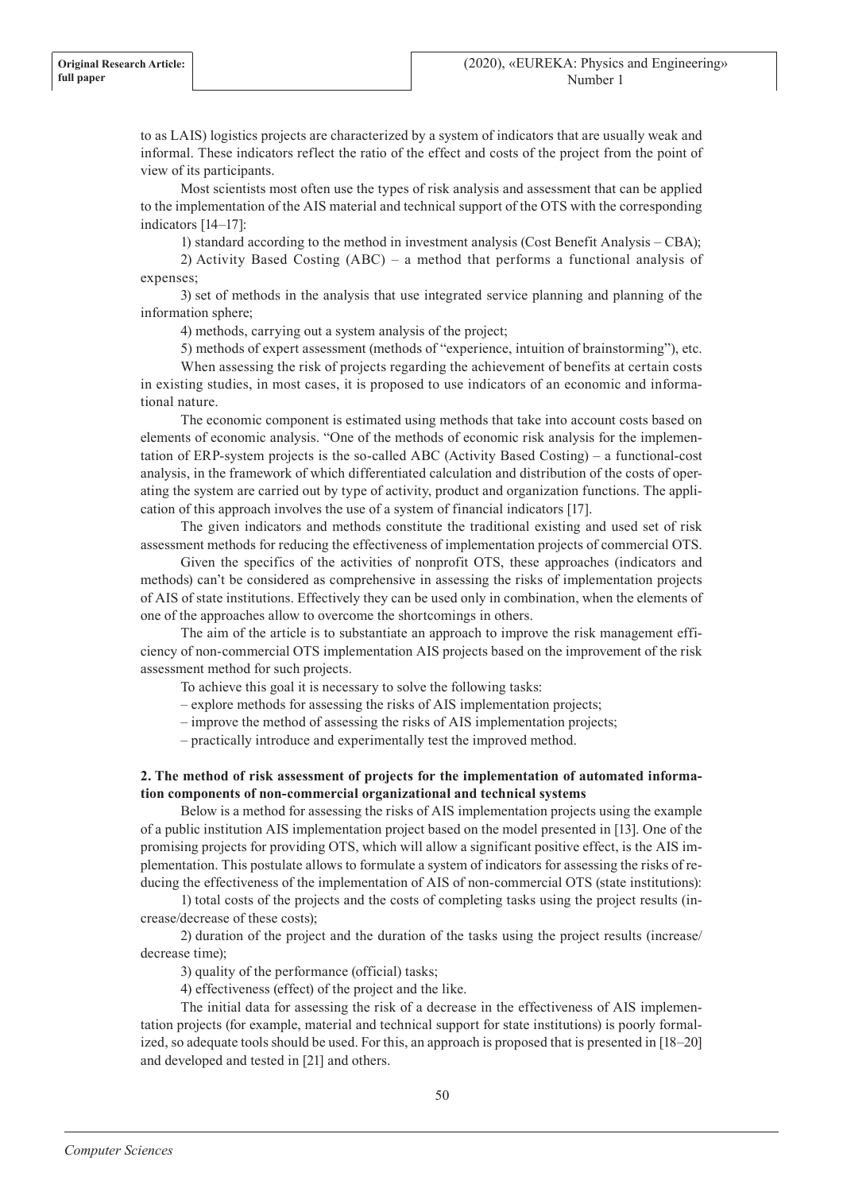to as LAIS) logistics projects are characterized by a system of indicators that are usually weak and informal. These indicators reflect the ratio of the effect and costs of the project from the point of view of its participants.

Most scientists most often use the types of risk analysis and assessment that can be applied to the implementation of the AIS material and technical support of the OTS with the corresponding indicators [14–17]:

1) standard according to the method in investment analysis (Cost Benefit Analysis – CBA);

2) Activity Based Costing (ABC) – a method that performs a functional analysis of expenses;

3) set of methods in the analysis that use integrated service planning and planning of the information sphere;

4) methods, carrying out a system analysis of the project;

5) methods of expert assessment (methods of "experience, intuition of brainstorming"), etc.

When assessing the risk of projects regarding the achievement of benefits at certain costs in existing studies, in most cases, it is proposed to use indicators of an economic and informational nature.

The economic component is estimated using methods that take into account costs based on elements of economic analysis. "One of the methods of economic risk analysis for the implementation of ERP-system projects is the so-called ABC (Activity Based Costing) – a functional-cost analysis, in the framework of which differentiated calculation and distribution of the costs of operating the system are carried out by type of activity, product and organization functions. The application of this approach involves the use of a system of financial indicators [17].

The given indicators and methods constitute the traditional existing and used set of risk assessment methods for reducing the effectiveness of implementation projects of commercial OTS.

Given the specifics of the activities of nonprofit OTS, these approaches (indicators and methods) can't be considered as comprehensive in assessing the risks of implementation projects of AIS of state institutions. Effectively they can be used only in combination, when the elements of one of the approaches allow to overcome the shortcomings in others.

The aim of the article is to substantiate an approach to improve the risk management efficiency of non-commercial OTS implementation AIS projects based on the improvement of the risk assessment method for such projects.

To achieve this goal it is necessary to solve the following tasks:

– explore methods for assessing the risks of AIS implementation projects;

– improve the method of assessing the risks of AIS implementation projects;

– practically introduce and experimentally test the improved method.

## **2. The method of risk assessment of projects for the implementation of automated information components of non-commercial organizational and technical systems**

Below is a method for assessing the risks of AIS implementation projects using the example of a public institution AIS implementation project based on the model presented in [13]. One of the promising projects for providing OTS, which will allow a significant positive effect, is the AIS implementation. This postulate allows to formulate a system of indicators for assessing the risks of reducing the effectiveness of the implementation of AIS of non-commercial OTS (state institutions):

1) total costs of the projects and the costs of completing tasks using the project results (increase/decrease of these costs);

2) duration of the project and the duration of the tasks using the project results (increase/ decrease time);

3) quality of the performance (official) tasks;

4) effectiveness (effect) of the project and the like.

The initial data for assessing the risk of a decrease in the effectiveness of AIS implementation projects (for example, material and technical support for state institutions) is poorly formalized, so adequate tools should be used. For this, an approach is proposed that is presented in [18–20] and developed and tested in [21] and others.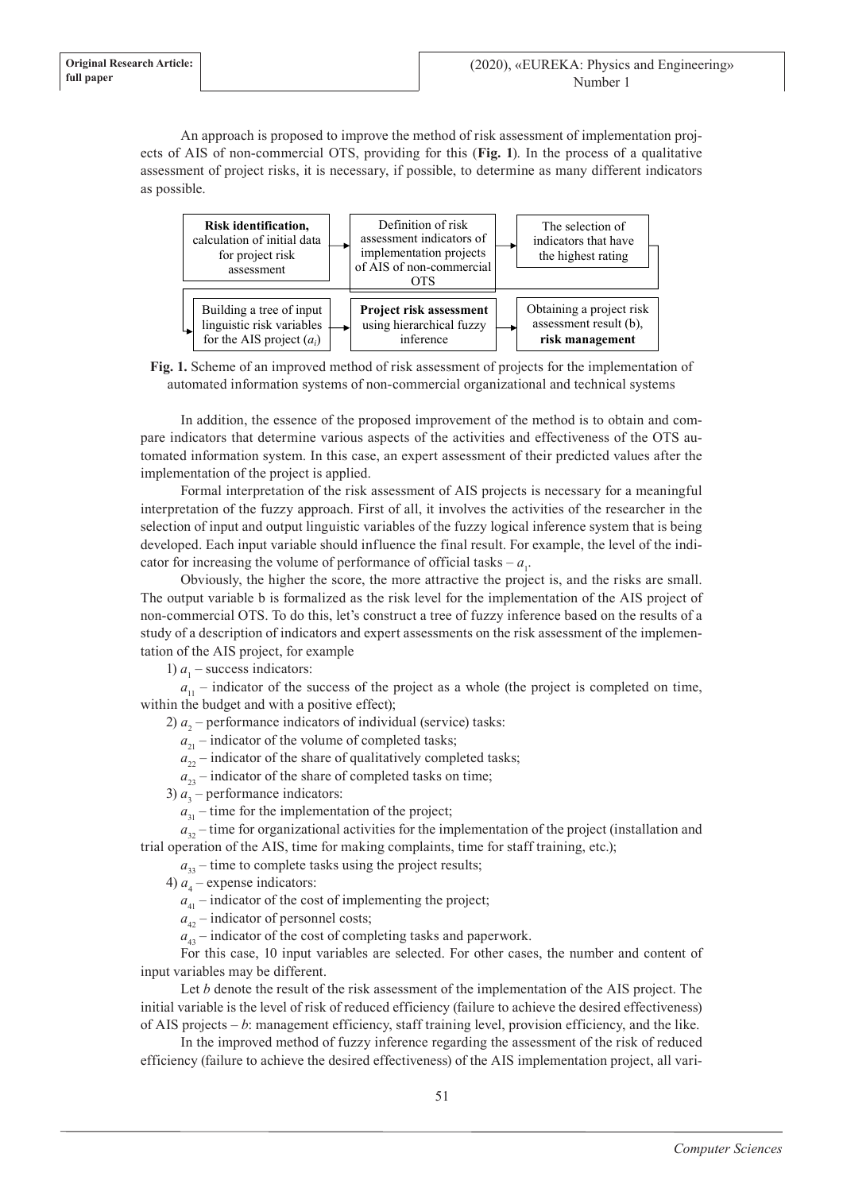An approach is proposed to improve the method of risk assessment of implementation projects of AIS of non-commercial OTS, providing for this (**Fig. 1**). In the process of a qualitative assessment of project risks, it is necessary, if possible, to determine as many different indicators as possible.



**Fig. 1.** Scheme of an improved method of risk assessment of projects for the implementation of automated information systems of non-commercial organizational and technical systems

In addition, the essence of the proposed improvement of the method is to obtain and compare indicators that determine various aspects of the activities and effectiveness of the OTS automated information system. In this case, an expert assessment of their predicted values after the implementation of the project is applied.

Formal interpretation of the risk assessment of AIS projects is necessary for a meaningful interpretation of the fuzzy approach. First of all, it involves the activities of the researcher in the selection of input and output linguistic variables of the fuzzy logical inference system that is being developed. Each input variable should influence the final result. For example, the level of the indicator for increasing the volume of performance of official tasks –  $a_1$ .

Obviously, the higher the score, the more attractive the project is, and the risks are small. The output variable b is formalized as the risk level for the implementation of the AIS project of non-commercial OTS. To do this, let's construct a tree of fuzzy inference based on the results of a study of a description of indicators and expert assessments on the risk assessment of the implementation of the AIS project, for example

1)  $a_1$  – success indicators:

 $a_{11}$  – indicator of the success of the project as a whole (the project is completed on time, within the budget and with a positive effect);

2)  $a_2$  – performance indicators of individual (service) tasks:

 $a_{21}$  – indicator of the volume of completed tasks;

 $a_{22}$  – indicator of the share of qualitatively completed tasks;

 $a_{23}$  – indicator of the share of completed tasks on time;

3)  $a_3$  – performance indicators:

 $a_{31}$  – time for the implementation of the project;

 $a_{32}$  – time for organizational activities for the implementation of the project (installation and trial operation of the AIS, time for making complaints, time for staff training, etc.);

 $a_{33}$  – time to complete tasks using the project results;

4)  $a_4$  – expense indicators:

 $a_{41}$  – indicator of the cost of implementing the project;

 $a_{42}$  – indicator of personnel costs;

 $a_{43}$  – indicator of the cost of completing tasks and paperwork.

For this case, 10 input variables are selected. For other cases, the number and content of input variables may be different.

Let *b* denote the result of the risk assessment of the implementation of the AIS project. The initial variable is the level of risk of reduced efficiency (failure to achieve the desired effectiveness) of AIS projects – *b*: management efficiency, staff training level, provision efficiency, and the like.

In the improved method of fuzzy inference regarding the assessment of the risk of reduced efficiency (failure to achieve the desired effectiveness) of the AIS implementation project, all vari-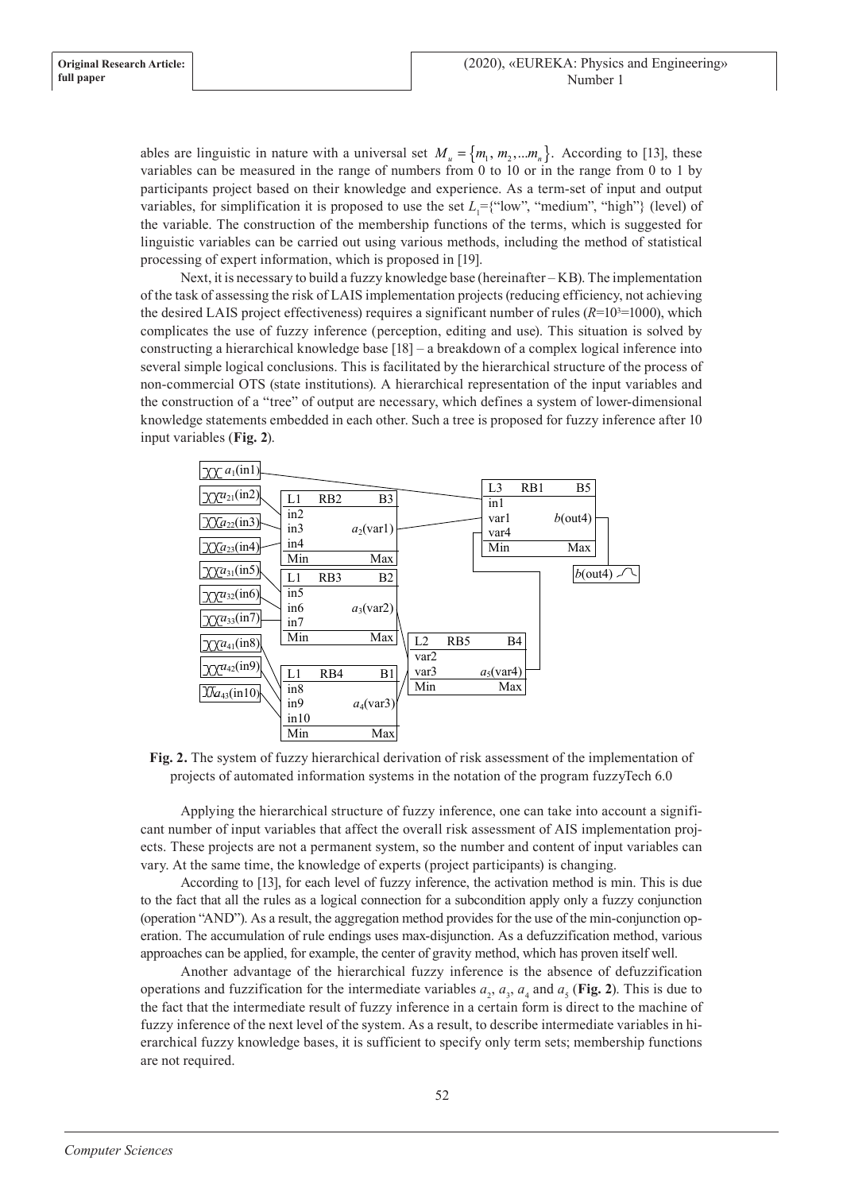ables are linguistic in nature with a universal set  $M_u = \{m_1, m_2, ... m_n\}$ . According to [13], these variables can be measured in the range of numbers from 0 to 10 or in the range from 0 to 1 by participants project based on their knowledge and experience. As a term-set of input and output variables, for simplification it is proposed to use the set  $L_1 = \{``low", "medium", "high"\}$  (level) of the variable. The construction of the membership functions of the terms, which is suggested for linguistic variables can be carried out using various methods, including the method of statistical processing of expert information, which is proposed in [19].

Next, it is necessary to build a fuzzy knowledge base (hereinafter – KB). The implementation of the task of assessing the risk of LAIS implementation projects (reducing efficiency, not achieving the desired LAIS project effectiveness) requires a significant number of rules  $(R=10^{3}=1000)$ , which complicates the use of fuzzy inference (perception, editing and use). This situation is solved by constructing a hierarchical knowledge base [18] – a breakdown of a complex logical inference into several simple logical conclusions. This is facilitated by the hierarchical structure of the process of non-commercial OTS (state institutions). A hierarchical representation of the input variables and the construction of a "tree" of output are necessary, which defines a system of lower-dimensional knowledge statements embedded in each other. Such a tree is proposed for fuzzy inference after 10 input variables (**Fig. 2**).



**Fig. 2.** The system of fuzzy hierarchical derivation of risk assessment of the implementation of projects of automated information systems in the notation of the program fuzzyTech 6.0

Applying the hierarchical structure of fuzzy inference, one can take into account a significant number of input variables that affect the overall risk assessment of AIS implementation projects. These projects are not a permanent system, so the number and content of input variables can vary. At the same time, the knowledge of experts (project participants) is changing.

According to [13], for each level of fuzzy inference, the activation method is min. This is due to the fact that all the rules as a logical connection for a subcondition apply only a fuzzy conjunction (operation "AND"). As a result, the aggregation method provides for the use of the min-conjunction operation. The accumulation of rule endings uses max-disjunction. As a defuzzification method, various approaches can be applied, for example, the center of gravity method, which has proven itself well.

Another advantage of the hierarchical fuzzy inference is the absence of defuzzification operations and fuzzification for the intermediate variables  $a_2$ ,  $a_3$ ,  $a_4$  and  $a_5$  (Fig. 2). This is due to the fact that the intermediate result of fuzzy inference in a certain form is direct to the machine of fuzzy inference of the next level of the system. As a result, to describe intermediate variables in hierarchical fuzzy knowledge bases, it is sufficient to specify only term sets; membership functions are not required.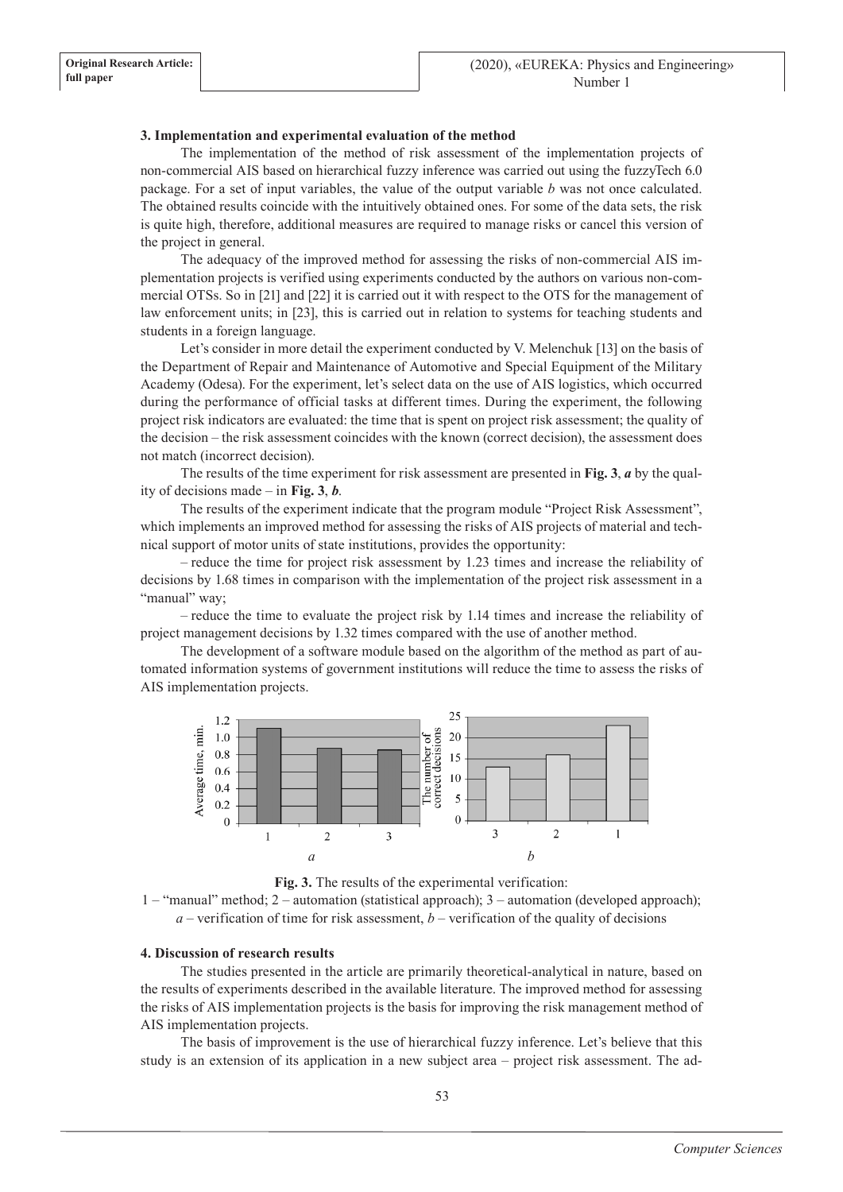## **3. Implementation and experimental evaluation of the method**

The implementation of the method of risk assessment of the implementation projects of non-commercial AIS based on hierarchical fuzzy inference was carried out using the fuzzyTech 6.0 package. For a set of input variables, the value of the output variable *b* was not once calculated. The obtained results coincide with the intuitively obtained ones. For some of the data sets, the risk is quite high, therefore, additional measures are required to manage risks or cancel this version of the project in general.

The adequacy of the improved method for assessing the risks of non-commercial AIS implementation projects is verified using experiments conducted by the authors on various non-commercial OTSs. So in [21] and [22] it is carried out it with respect to the OTS for the management of law enforcement units; in [23], this is carried out in relation to systems for teaching students and students in a foreign language.

Let's consider in more detail the experiment conducted by V. Melenchuk [13] on the basis of the Department of Repair and Maintenance of Automotive and Special Equipment of the Military Academy (Odesa). For the experiment, let's select data on the use of AIS logistics, which occurred during the performance of official tasks at different times. During the experiment, the following project risk indicators are evaluated: the time that is spent on project risk assessment; the quality of the decision – the risk assessment coincides with the known (correct decision), the assessment does not match (incorrect decision).

The results of the time experiment for risk assessment are presented in **Fig. 3**, *a* by the quality of decisions made – in **Fig. 3**, *b*.

The results of the experiment indicate that the program module "Project Risk Assessment", which implements an improved method for assessing the risks of AIS projects of material and technical support of motor units of state institutions, provides the opportunity:

– reduce the time for project risk assessment by 1.23 times and increase the reliability of decisions by 1.68 times in comparison with the implementation of the project risk assessment in a "manual" way;

– reduce the time to evaluate the project risk by 1.14 times and increase the reliability of project management decisions by 1.32 times compared with the use of another method.

The development of a software module based on the algorithm of the method as part of automated information systems of government institutions will reduce the time to assess the risks of AIS implementation projects.





1 – "manual" method; 2 – automation (statistical approach); 3 – automation (developed approach);  $a$  – verification of time for risk assessment,  $b$  – verification of the quality of decisions

## **4. Discussion of research results**

The studies presented in the article are primarily theoretical-analytical in nature, based on the results of experiments described in the available literature. The improved method for assessing the risks of AIS implementation projects is the basis for improving the risk management method of AIS implementation projects.

The basis of improvement is the use of hierarchical fuzzy inference. Let's believe that this study is an extension of its application in a new subject area – project risk assessment. The ad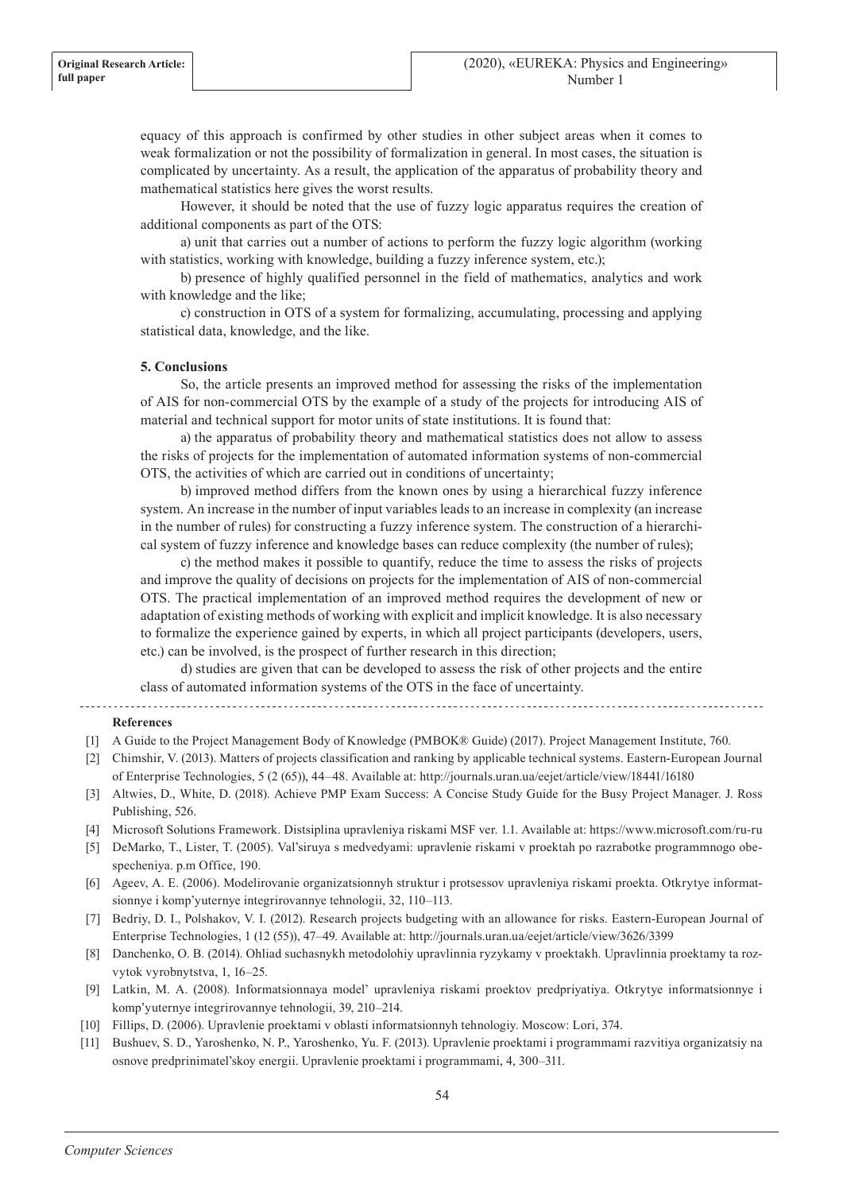equacy of this approach is confirmed by other studies in other subject areas when it comes to weak formalization or not the possibility of formalization in general. In most cases, the situation is complicated by uncertainty. As a result, the application of the apparatus of probability theory and mathematical statistics here gives the worst results.

However, it should be noted that the use of fuzzy logic apparatus requires the creation of additional components as part of the OTS:

a) unit that carries out a number of actions to perform the fuzzy logic algorithm (working with statistics, working with knowledge, building a fuzzy inference system, etc.);

b) presence of highly qualified personnel in the field of mathematics, analytics and work with knowledge and the like;

c) construction in OTS of a system for formalizing, accumulating, processing and applying statistical data, knowledge, and the like.

## **5. Conclusions**

So, the article presents an improved method for assessing the risks of the implementation of AIS for non-commercial OTS by the example of a study of the projects for introducing AIS of material and technical support for motor units of state institutions. It is found that:

a) the apparatus of probability theory and mathematical statistics does not allow to assess the risks of projects for the implementation of automated information systems of non-commercial OTS, the activities of which are carried out in conditions of uncertainty;

b) improved method differs from the known ones by using a hierarchical fuzzy inference system. An increase in the number of input variables leads to an increase in complexity (an increase in the number of rules) for constructing a fuzzy inference system. The construction of a hierarchical system of fuzzy inference and knowledge bases can reduce complexity (the number of rules);

c) the method makes it possible to quantify, reduce the time to assess the risks of projects and improve the quality of decisions on projects for the implementation of AIS of non-commercial OTS. The practical implementation of an improved method requires the development of new or adaptation of existing methods of working with explicit and implicit knowledge. It is also necessary to formalize the experience gained by experts, in which all project participants (developers, users, etc.) can be involved, is the prospect of further research in this direction;

d) studies are given that can be developed to assess the risk of other projects and the entire class of automated information systems of the OTS in the face of uncertainty.

## **References**

- [1] A Guide to the Project Management Body of Knowledge (PMBOK® Guide) (2017). Project Management Institute, 760.
- [2] Chimshir, V. (2013). Matters of projects classification and ranking by applicable technical systems. Eastern-European Journal of Enterprise Technologies, 5 (2 (65)), 44–48. Available at: http://journals.uran.ua/eejet/article/view/18441/16180
- [3] Altwies, D., White, D. (2018). Achieve PMP Exam Success: A Concise Study Guide for the Busy Project Manager. J. Ross Publishing, 526.
- [4] Microsoft Solutions Framework. Distsiplina upravleniya riskami MSF ver. 1.1. Available at: https://www.microsoft.com/ru-ru
- [5] DeMarko, T., Lister, T. (2005). Val'siruya s medvedyami: upravlenie riskami v proektah po razrabotke programmnogo obespecheniya. р.m Office, 190.
- [6] Ageev, A. E. (2006). Modelirovanie organizatsionnyh struktur i protsessov upravleniya riskami proekta. Otkrytye informatsionnye i komp'yuternye integrirovannye tehnologii, 32, 110–113.
- [7] Bedriy, D. I., Polshakov, V. I. (2012). Research projects budgeting with an allowance for risks. Eastern-European Journal of Enterprise Technologies, 1 (12 (55)), 47–49. Available at: http://journals.uran.ua/eejet/article/view/3626/3399
- [8] Danchenko, O. B. (2014). Ohliad suchasnykh metodolohiy upravlinnia ryzykamy v proektakh. Upravlinnia proektamy ta rozvytok vyrobnytstva, 1, 16–25.
- [9] Latkin, M. A. (2008). Informatsionnaya model' upravleniya riskami proektov predpriyatiya. Otkrytye informatsionnye i komp'yuternye integrirovannye tehnologii, 39, 210–214.
- [10] Fillips, D. (2006). Upravlenie proektami v oblasti informatsionnyh tehnologiy. Moscow: Lori, 374.
- [11] Bushuev, S. D., Yaroshenko, N. P., Yaroshenko, Yu. F. (2013). Upravlenie proektami i programmami razvitiya organizatsiy na osnove predprinimatel'skoy energii. Upravlenie proektami i programmami, 4, 300–311.